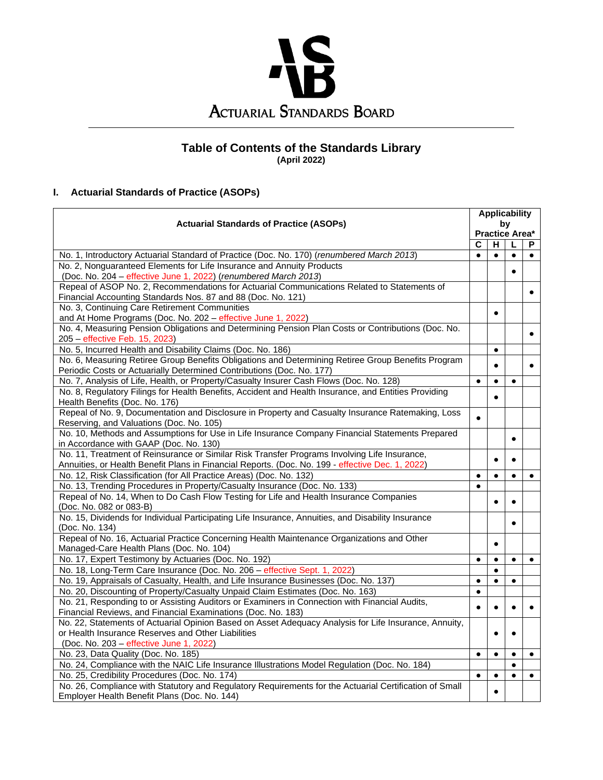

## **Table of Contents of the Standards Library (April 2022)**

# **I. Actuarial Standards of Practice (ASOPs)**

|                                                                                                                                                                                 |                             | <b>Applicability</b> |           |           |  |
|---------------------------------------------------------------------------------------------------------------------------------------------------------------------------------|-----------------------------|----------------------|-----------|-----------|--|
| <b>Actuarial Standards of Practice (ASOPs)</b>                                                                                                                                  | by<br><b>Practice Area*</b> |                      |           |           |  |
|                                                                                                                                                                                 |                             |                      |           |           |  |
|                                                                                                                                                                                 | C                           | н                    | L         | P         |  |
| No. 1, Introductory Actuarial Standard of Practice (Doc. No. 170) (renumbered March 2013)                                                                                       | $\bullet$                   | $\bullet$            | $\bullet$ |           |  |
| No. 2, Nonguaranteed Elements for Life Insurance and Annuity Products                                                                                                           |                             |                      | $\bullet$ |           |  |
| (Doc. No. 204 - effective June 1, 2022) (renumbered March 2013)                                                                                                                 |                             |                      |           |           |  |
| Repeal of ASOP No. 2, Recommendations for Actuarial Communications Related to Statements of                                                                                     |                             |                      |           | $\bullet$ |  |
| Financial Accounting Standards Nos. 87 and 88 (Doc. No. 121)                                                                                                                    |                             |                      |           |           |  |
| No. 3, Continuing Care Retirement Communities                                                                                                                                   |                             | $\bullet$            |           |           |  |
| and At Home Programs (Doc. No. 202 - effective June 1, 2022)<br>No. 4, Measuring Pension Obligations and Determining Pension Plan Costs or Contributions (Doc. No.              |                             |                      |           |           |  |
|                                                                                                                                                                                 |                             |                      |           | $\bullet$ |  |
| 205 - effective Feb. 15, 2023)                                                                                                                                                  |                             |                      |           |           |  |
| No. 5, Incurred Health and Disability Claims (Doc. No. 186)<br>No. 6, Measuring Retiree Group Benefits Obligations and Determining Retiree Group Benefits Program               |                             | $\bullet$            |           |           |  |
| Periodic Costs or Actuarially Determined Contributions (Doc. No. 177)                                                                                                           |                             |                      |           | $\bullet$ |  |
| No. 7, Analysis of Life, Health, or Property/Casualty Insurer Cash Flows (Doc. No. 128)                                                                                         | $\bullet$                   | $\bullet$            | $\bullet$ |           |  |
| No. 8, Regulatory Filings for Health Benefits, Accident and Health Insurance, and Entities Providing                                                                            |                             |                      |           |           |  |
| Health Benefits (Doc. No. 176)                                                                                                                                                  |                             |                      |           |           |  |
| Repeal of No. 9, Documentation and Disclosure in Property and Casualty Insurance Ratemaking, Loss                                                                               | $\bullet$                   |                      |           |           |  |
| Reserving, and Valuations (Doc. No. 105)                                                                                                                                        |                             |                      |           |           |  |
| No. 10, Methods and Assumptions for Use in Life Insurance Company Financial Statements Prepared                                                                                 |                             |                      | $\bullet$ |           |  |
| in Accordance with GAAP (Doc. No. 130)                                                                                                                                          |                             |                      |           |           |  |
| No. 11, Treatment of Reinsurance or Similar Risk Transfer Programs Involving Life Insurance,                                                                                    |                             |                      | $\bullet$ |           |  |
| Annuities, or Health Benefit Plans in Financial Reports. (Doc. No. 199 - effective Dec. 1, 2022)                                                                                |                             |                      |           |           |  |
| No. 12, Risk Classification (for All Practice Areas) (Doc. No. 132)                                                                                                             | $\bullet$                   | $\bullet$            | $\bullet$ | $\bullet$ |  |
| No. 13, Trending Procedures in Property/Casualty Insurance (Doc. No. 133)                                                                                                       | $\bullet$                   |                      |           |           |  |
| Repeal of No. 14, When to Do Cash Flow Testing for Life and Health Insurance Companies                                                                                          |                             |                      | $\bullet$ |           |  |
| (Doc. No. 082 or 083-B)                                                                                                                                                         |                             |                      |           |           |  |
| No. 15, Dividends for Individual Participating Life Insurance, Annuities, and Disability Insurance                                                                              |                             |                      | $\bullet$ |           |  |
| (Doc. No. 134)                                                                                                                                                                  |                             |                      |           |           |  |
| Repeal of No. 16, Actuarial Practice Concerning Health Maintenance Organizations and Other                                                                                      |                             |                      |           |           |  |
| Managed-Care Health Plans (Doc. No. 104)                                                                                                                                        |                             | $\bullet$            | $\bullet$ |           |  |
| No. 17, Expert Testimony by Actuaries (Doc. No. 192)<br>No. 18, Long-Term Care Insurance (Doc. No. 206 - effective Sept. 1, 2022)                                               | $\bullet$                   | $\bullet$            |           | $\bullet$ |  |
|                                                                                                                                                                                 | $\bullet$                   | $\bullet$            |           |           |  |
| No. 19, Appraisals of Casualty, Health, and Life Insurance Businesses (Doc. No. 137)                                                                                            |                             |                      | $\bullet$ |           |  |
| No. 20, Discounting of Property/Casualty Unpaid Claim Estimates (Doc. No. 163)<br>No. 21, Responding to or Assisting Auditors or Examiners in Connection with Financial Audits, | $\bullet$                   |                      |           |           |  |
| Financial Reviews, and Financial Examinations (Doc. No. 183)                                                                                                                    | $\bullet$                   |                      | $\bullet$ |           |  |
| No. 22, Statements of Actuarial Opinion Based on Asset Adequacy Analysis for Life Insurance, Annuity,                                                                           |                             |                      |           |           |  |
| or Health Insurance Reserves and Other Liabilities                                                                                                                              |                             |                      | $\bullet$ |           |  |
| (Doc. No. 203 - effective June 1, 2022)                                                                                                                                         |                             |                      |           |           |  |
| No. 23, Data Quality (Doc. No. 185)                                                                                                                                             | $\bullet$                   | $\bullet$            | $\bullet$ | $\bullet$ |  |
| No. 24, Compliance with the NAIC Life Insurance Illustrations Model Regulation (Doc. No. 184)                                                                                   |                             |                      | $\bullet$ |           |  |
| No. 25, Credibility Procedures (Doc. No. 174)                                                                                                                                   | $\bullet$                   | $\bullet$            | $\bullet$ | $\bullet$ |  |
| No. 26, Compliance with Statutory and Regulatory Requirements for the Actuarial Certification of Small                                                                          |                             |                      |           |           |  |
| Employer Health Benefit Plans (Doc. No. 144)                                                                                                                                    |                             |                      |           |           |  |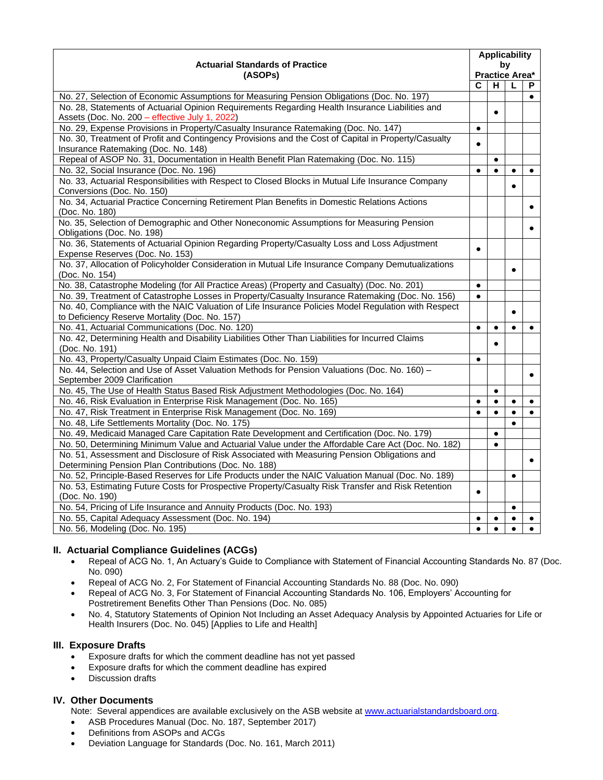| <b>Actuarial Standards of Practice</b>                                                                                          | <b>Applicability</b> |                |           |           |  |
|---------------------------------------------------------------------------------------------------------------------------------|----------------------|----------------|-----------|-----------|--|
|                                                                                                                                 | by<br>Practice Area* |                |           |           |  |
| (ASOPs)                                                                                                                         | C                    | $\overline{H}$ | L         | P         |  |
| No. 27, Selection of Economic Assumptions for Measuring Pension Obligations (Doc. No. 197)                                      |                      |                |           | $\bullet$ |  |
| No. 28, Statements of Actuarial Opinion Requirements Regarding Health Insurance Liabilities and                                 |                      |                |           |           |  |
| Assets (Doc. No. 200 - effective July 1, 2022)                                                                                  |                      |                |           |           |  |
| No. 29, Expense Provisions in Property/Casualty Insurance Ratemaking (Doc. No. 147)                                             | $\bullet$            |                |           |           |  |
| No. 30, Treatment of Profit and Contingency Provisions and the Cost of Capital in Property/Casualty                             | $\bullet$            |                |           |           |  |
| Insurance Ratemaking (Doc. No. 148)                                                                                             |                      |                |           |           |  |
| Repeal of ASOP No. 31, Documentation in Health Benefit Plan Ratemaking (Doc. No. 115)                                           |                      | $\bullet$      |           |           |  |
| No. 32, Social Insurance (Doc. No. 196)                                                                                         | $\bullet$            |                | $\bullet$ | $\bullet$ |  |
| No. 33, Actuarial Responsibilities with Respect to Closed Blocks in Mutual Life Insurance Company<br>Conversions (Doc. No. 150) |                      |                | $\bullet$ |           |  |
| No. 34, Actuarial Practice Concerning Retirement Plan Benefits in Domestic Relations Actions<br>(Doc. No. 180)                  |                      |                |           |           |  |
| No. 35, Selection of Demographic and Other Noneconomic Assumptions for Measuring Pension<br>Obligations (Doc. No. 198)          |                      |                |           |           |  |
| No. 36, Statements of Actuarial Opinion Regarding Property/Casualty Loss and Loss Adjustment                                    |                      |                |           |           |  |
| Expense Reserves (Doc. No. 153)                                                                                                 | $\bullet$            |                |           |           |  |
| No. 37, Allocation of Policyholder Consideration in Mutual Life Insurance Company Demutualizations                              |                      |                |           |           |  |
| (Doc. No. 154)                                                                                                                  |                      |                | $\bullet$ |           |  |
| No. 38, Catastrophe Modeling (for All Practice Areas) (Property and Casualty) (Doc. No. 201)                                    | $\bullet$            |                |           |           |  |
| No. 39, Treatment of Catastrophe Losses in Property/Casualty Insurance Ratemaking (Doc. No. 156)                                | $\bullet$            |                |           |           |  |
| No. 40, Compliance with the NAIC Valuation of Life Insurance Policies Model Regulation with Respect                             |                      |                | $\bullet$ |           |  |
| to Deficiency Reserve Mortality (Doc. No. 157)                                                                                  |                      |                |           |           |  |
| No. 41, Actuarial Communications (Doc. No. 120)                                                                                 | $\bullet$            | $\bullet$      | $\bullet$ | $\bullet$ |  |
| No. 42, Determining Health and Disability Liabilities Other Than Liabilities for Incurred Claims<br>(Doc. No. 191)              |                      |                |           |           |  |
| No. 43, Property/Casualty Unpaid Claim Estimates (Doc. No. 159)                                                                 | $\bullet$            |                |           |           |  |
| No. 44, Selection and Use of Asset Valuation Methods for Pension Valuations (Doc. No. 160) -                                    |                      |                |           |           |  |
| September 2009 Clarification                                                                                                    |                      |                |           | $\bullet$ |  |
| No. 45, The Use of Health Status Based Risk Adjustment Methodologies (Doc. No. 164)                                             |                      | $\bullet$      |           |           |  |
| No. 46, Risk Evaluation in Enterprise Risk Management (Doc. No. 165)                                                            | $\bullet$            | $\bullet$      | $\bullet$ | $\bullet$ |  |
| No. 47, Risk Treatment in Enterprise Risk Management (Doc. No. 169)                                                             | $\bullet$            | $\bullet$      | $\bullet$ | $\bullet$ |  |
| No. 48, Life Settlements Mortality (Doc. No. 175)                                                                               |                      |                | $\bullet$ |           |  |
| No. 49, Medicaid Managed Care Capitation Rate Development and Certification (Doc. No. 179)                                      |                      | $\bullet$      |           |           |  |
| No. 50, Determining Minimum Value and Actuarial Value under the Affordable Care Act (Doc. No. 182)                              |                      | $\bullet$      |           |           |  |
| No. 51, Assessment and Disclosure of Risk Associated with Measuring Pension Obligations and                                     |                      |                |           |           |  |
| Determining Pension Plan Contributions (Doc. No. 188)                                                                           |                      |                |           |           |  |
| No. 52, Principle-Based Reserves for Life Products under the NAIC Valuation Manual (Doc. No. 189)                               |                      |                | $\bullet$ |           |  |
| No. 53, Estimating Future Costs for Prospective Property/Casualty Risk Transfer and Risk Retention<br>(Doc. No. 190)            | $\bullet$            |                |           |           |  |
| No. 54, Pricing of Life Insurance and Annuity Products (Doc. No. 193)                                                           |                      |                | $\bullet$ |           |  |
| No. 55, Capital Adequacy Assessment (Doc. No. 194)                                                                              | $\bullet$            |                | $\bullet$ |           |  |
| No. 56, Modeling (Doc. No. 195)                                                                                                 |                      |                |           |           |  |

### **II. Actuarial Compliance Guidelines (ACGs)**

- Repeal of ACG No. 1, An Actuary's Guide to Compliance with Statement of Financial Accounting Standards No. 87 (Doc. No. 090)
- Repeal of ACG No. 2, For Statement of Financial Accounting Standards No. 88 (Doc. No. 090)
- Repeal of ACG No. 3, For Statement of Financial Accounting Standards No. 106, Employers' Accounting for Postretirement Benefits Other Than Pensions (Doc. No. 085)
- No. 4, Statutory Statements of Opinion Not Including an Asset Adequacy Analysis by Appointed Actuaries for Life or Health Insurers (Doc. No. 045) [Applies to Life and Health]

#### **III. Exposure Drafts**

- Exposure drafts for which the comment deadline has not yet passed
- Exposure drafts for which the comment deadline has expired
- Discussion drafts

#### **IV. Other Documents**

- Note: Several appendices are available exclusively on the ASB website a[t www.actuarialstandardsboard.org.](http://www.actuarialstandardsboard.org/)
- ASB Procedures Manual (Doc. No. 187, September 2017)
- Definitions from ASOPs and ACGs
- Deviation Language for Standards (Doc. No. 161, March 2011)